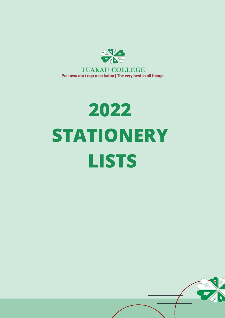

Pai rawa atu i nga mea katoa | The very best in all things

# **2022 STATIONERY LISTS**

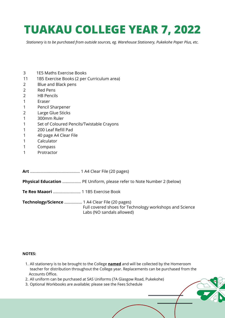## **TUAKAU COLLEGE YEAR 7, 2022**

*Stationery is to be purchased from outside sources, eg. Warehouse Stationery, Pukekohe Paper Plus, etc.*

- 3 1E5 Maths Exercise Books
- 11 1B5 Exercise Books (2 per Curriculum area)
- 2 Blue and Black pens
- 2 Red Pens
- 2 HB Pencils
- 1 Eraser
- 1 Pencil Sharpener
- 2 Large Glue Sticks
- 1 300mm Ruler
- 1 Set of Coloured Pencils/Twistable Crayons
- 1 200 Leaf Refill Pad
- 1 40 page A4 Clear File
- 1 Calculator
- 1 Compass
- 1 Protractor

**Art** ............................................. 1 A4 Clear File (20 pages)

**Physical Education** ................. PE Uniform, please refer to Note Number 2 (below)

**Te Reo Maaori** ......................... 1 1B5 Exercise Book

**Technology/Science** ................ 1 A4 Clear File (20 pages) Full covered shoes for Technology workshops and Science Labs (NO sandals allowed)

- All stationery is to be brought to the College **named** and will be collected by the Homeroom 1. teacher for distribution throughout the College year. Replacements can be purchased from the Accounts Office.
- 2. All uniform can be purchased at SAS Uniforms (7A Glasgow Road, Pukekohe)
- 3. Optional Workbooks are available; please see the Fees Schedule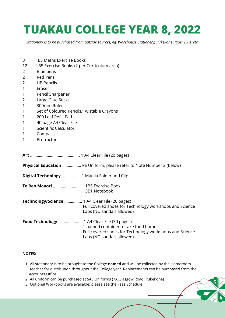## **TUAKAU COLLEGE YEAR 8, 2022**

*Stationery is to be purchased from outside sources, eg. Warehouse Stationery, Pukekohe Paper Plus, etc.*

- 3 1E5 Maths Exercise Books
- 12 1B5 Exercise Books (2 per Curriculum area)
- 2 Blue pens
- 2 Red Pens
- 2 HB Pencils
- 1 Eraser
- 1 Pencil Sharpener
- 2 Large Glue Sticks
- 1 300mm Ruler
- 1 Set of Coloured Pencils/Twistable Crayons
- 1 200 Leaf Refill Pad
- 1 40 page A4 Clear File
- 1 Scientific Calculator
- 1 Compass
- 1 Protractor

**Art** ............................................. 1 A4 Clear File (20 pages)

**Physical Education** ................. PE Uniform, please refer to Note Number 2 (below)

- **Digital Technology** ................. 1 Manila Folder and Clip
- **Te Reo Maaori** ......................... 1 1B5 Exercise Book 1 3B1 Notebook
- **Technology/Science** ................ 1 A4 Clear File (20 pages) Full covered shoes for Technology workshops and Science Labs (NO sandals allowed)
- **Food Technology** .......................1 A4 Clear File (30 pages) 1 named container to take food home Full covered shoes for Technology workshops and Science Labs (NO sandals allowed)

- All stationery is to be brought to the College **named** and will be collected by the Homeroom 1. teacher for distribution throughout the College year. Replacements can be purchased from the Accounts Office.
- 2. All uniform can be purchased at SAS Uniforms (7A Glasgow Road, Pukekohe)
- 3. Optional Workbooks are available; please see the Fees Schedule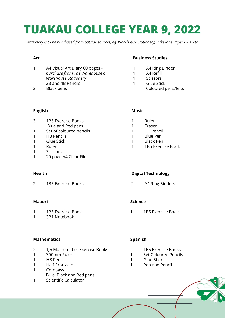## **TUAKAU COLLEGE YEAR 9, 2022**

*Stationery is to be purchased from outside sources, eg. Warehouse Stationery, Pukekohe Paper Plus, etc.*

#### **Art**

- A4 Visual Art Diary 60 pages *purchase from The Warehouse or Warehouse Stationery* 2B and 4B Pencils
- Black pens

#### **Business Studies**

- A4 Ring Binder
- A4 Refill
- Scissors
- Glue Stick
	- Coloured pens/felts

#### **English**

- 1B5 Exercise Books Blue and Red pens
- Set of coloured pencils
- HB Pencils
- Glue Stick
- Ruler
- Scissors
- 20 page A4 Clear File

#### **Health**

1B5 Exercise Books

#### **Maaori**

- 1B5 Exercise Book
- 3B1 Notebook

#### **Mathematics**

- 1J5 Mathematics Exercise Books
- 300mm Ruler
- HB Pencil
- Half Protractor
- Compass Blue, Black and Red pens
- Scientific Calculator

#### **Music**

- Ruler
- Eraser
- HB Pencil
- Blue Pen
- Black Pen
- 1B5 Exercise Book

#### **Digital Technology**

A4 Ring Binders

#### **Science**

1B5 Exercise Book

#### **Spanish**

- 1B5 Exercise Books
- Set Coloured Pencils
- Glue Stick
- Pen and Pencil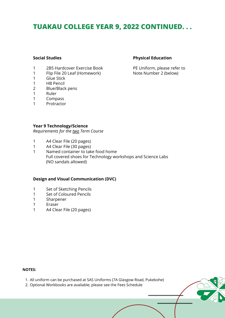### **TUAKAU COLLEGE YEAR 9, 2022 CONTINUED. . .**

#### **Social Studies**

- 1 2B5 Hardcover Exercise Book
- 1 Flip File 20 Leaf (Homework)
- 1 Glue Stick
- 1 HB Pencil
- 2 Blue/Black pens
- 1 Ruler
- 1 Compass
- 1 Protractor

#### **Physical Education**

PE Uniform, please refer to Note Number 2 (below)

#### **Year 9 Technology/Science**

*Requirements for the two Term Course*

- 1 A4 Clear File (20 pages)
- 1 A4 Clear File (30 pages)
- 1 Named container to take food home Full covered shoes for Technology workshops and Science Labs (NO sandals allowed)

#### **Design and Visual Communication (DVC)**

- 1 Set of Sketching Pencils
- 1 Set of Coloured Pencils
- 1 Sharpener
- 1 Eraser
- 1 A4 Clear File (20 pages)

- All uniform can be purchased at SAS Uniforms (7A Glasgow Road, Pukekohe) 1.
- 2. Optional Workbooks are available; please see the Fees Schedule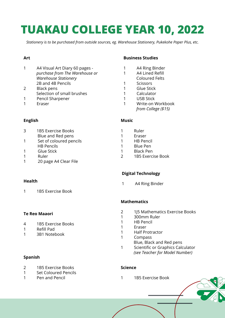## **TUAKAU COLLEGE YEAR 10, 2022**

*Stationery is to be purchased from outside sources, eg. Warehouse Stationery, Pukekohe Paper Plus, etc.*

#### **Art**

- A4 Visual Art Diary 60 pages *purchase from The Warehouse or Warehouse Stationery* 2B and 4B Pencils
- Black pens Selection of small brushes
- Pencil Sharpener
- 
- Eraser

#### **English**

- 1B5 Exercise Books
- Blue and Red pens
- Set of coloured pencils HB Pencils
- Glue Stick
- Ruler
- 20 page A4 Clear File

#### **Health**

1B5 Exercise Book

#### **Te Reo Maaori**

- 1B5 Exercise Books
- Refill Pad
- 3B1 Notebook

#### **Spanish**

- 1B5 Exercise Books
- Set Coloured Pencils
- Pen and Pencil

#### **Business Studies**

- A4 Ring Binder
- A4 Lined Refill Coloured Felts
- Scissors
- Glue Stick
- Calculator
- USB Stick
- Write-on Workbook *from College (\$15)*

#### **Music**

- Ruler
- Eraser
- HB Pencil
- Blue Pen
- Black Pen
- 1B5 Exercise Book

#### **Digital Technology**

A4 Ring Binder

#### **Mathematics**

- 1J5 Mathematics Exercise Books
- 300mm Ruler
- HB Pencil
- Eraser
- Half Protractor
- Compass Blue, Black and Red pens
- Scientific or Graphics Calculator *(see Teacher for Model Number)*

#### **Science**

1B5 Exercise Book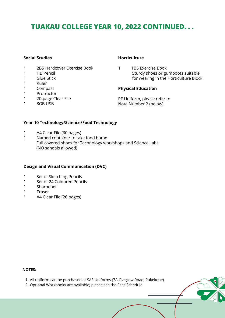### **TUAKAU COLLEGE YEAR 10, 2022 CONTINUED. . .**

#### **Social Studies**

- 1 2B5 Hardcover Exercise Book
- 1 HB Pencil
- 1 Glue Stick
- 1 Ruler
- 1 Compass
- 1 Protractor
- 1 20-page Clear File
- 1 8GB USB

#### **Horticulture**

1 1B5 Exercise Book Sturdy shoes or gumboots suitable for wearing in the Horticulture Block

#### **Physical Education**

PE Uniform, please refer to Note Number 2 (below)

#### **Year 10 Technology/Science/Food Technology**

- 1 A4 Clear File (30 pages)
- 1 Named container to take food home Full covered shoes for Technology workshops and Science Labs (NO sandals allowed)

#### **Design and Visual Communication (DVC)**

- 1 Set of Sketching Pencils
- 1 Set of 24 Coloured Pencils
- 1 Sharpener
- 1 Eraser
- 1 A4 Clear File (20 pages)

- All uniform can be purchased at SAS Uniforms (7A Glasgow Road, Pukekohe) 1.
- 2. Optional Workbooks are available; please see the Fees Schedule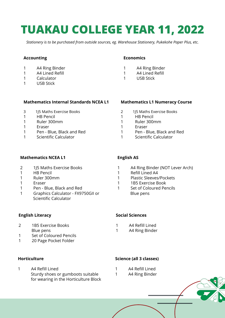## **TUAKAU COLLEGE YEAR 11, 2022**

*Stationery is to be purchased from outside sources, eg. Warehouse Stationery, Pukekohe Paper Plus, etc.*

#### **Accounting**

- 1 A4 Ring Binder
- 1 A4 Lined Refill
- 1 Calculator
- 1 USB Stick

#### **Mathematics Internal Standards NCEA L1**

- 3 1J5 Maths Exercise Books
- 1 HB Pencil<br>1 Ruler 300
- 1 Ruler 300mm<br>1 Fraser
- **Fraser**
- 1 Pen Blue, Black and Red
- 1 Scientific Calculator

#### **Economics**

- 1 A4 Ring Binder
- 1 A4 Lined Refill
- 1 USB Stick

#### **Mathematics L1 Numeracy Course**

- 2 1J5 Maths Exercise Books
- 1 HB Pencil<br>1 Ruler 300
- 1 Ruler 300mm<br>1 Fraser
- **Fraser**
- 1 Pen Blue, Black and Red
- 1 Scientific Calculator

#### **Mathematics NCEA L1**

- 2 1J5 Maths Exercise Books
- 1 HB Pencil
- 1 Ruler 300mm
- 1 Eraser
- 1 Pen Blue, Black and Red
- 1 Graphics Calculator FX9750GII or Scientific Calculator

#### **English Literacy**

- 2 1B5 Exercise Books Blue pens
- 1 Set of Coloured Pencils
- 1 20 Page Pocket Folder

#### **Horticulture**

1 A4 Refill Lined Sturdy shoes or gumboots suitable for wearing in the Horticulture Block

#### **English AS**

- 1 A4 Ring Binder (NOT Lever Arch)
- 1 Refill Lined A4
- 1 Plastic Sleeves/Pockets
- 1 1B5 Exercise Book
- 1 Set of Coloured Pencils Blue pens

#### **Social Sciences**

- 1 A4 Refill Lined
- 1 A4 Ring Binder

#### **Science (all 3 classes)**

- 1 A4 Refill Lined
- 1 A4 Ring Binder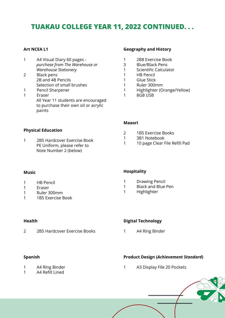### **TUAKAU COLLEGE YEAR 11, 2022 CONTINUED. . .**

#### **Art NCEA L1**

- 1 A4 Visual Diary 60 pages *purchase from The Warehouse or Warehouse Stationery*
- 2 Black pens 2B and 4B Pencils Selection of small brushes
- 1 Pencil Sharpener
- 1 Eraser All Year 11 students are encouraged to purchase their own oil or acrylic paints

#### **Geography and History**

- 1 2B8 Exercise Book
- 3 Blue/Black Pens
- 1 Scientific Calculator
- 1 HB Pencil
- 1 Glue Stick
- 1 Ruler 300mm
- 1 Highlighter (Orange/Yellow)
- 1 8GB USB

#### **Maaori**

- 2 1B5 Exercise Books
- 1 3B1 Notebook
- 1 10 page Clear File Refill Pad

#### **Physical Education**

1 2B5 Hardcover Exercise Book PE Uniform, please refer to Note Number 2 (below)

#### **Music**

- 1 HB Pencil
- 1 Eraser
- 1 Ruler 300mm
- 1 1B5 Exercise Book

#### **Health**

2 2B5 Hardcover Exercise Books

#### **Hospitality**

- 1 Drawing Pencil
- 1 Black and Blue Pen
- 

#### **Digital Technology**

1 A4 Ring Binder

#### **Product Design (***Achievement Standard***)**

- 1 A4 Ring Binder
- 1 A4 Refill Lined

1 A3 Display File 20 Pockets

- 
- 1 Highlighter

#### **Spanish**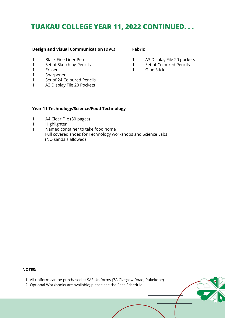#### **TUAKAU COLLEGE YEAR 11, 2022 CONTINUED. . .**

#### **Design and Visual Communication (DVC)**

- 1 Black Fine Liner Pen
- 1 Set of Sketching Pencils
- 1 Eraser
- 1 Sharpener
- 1 Set of 24 Coloured Pencils
- 1 A3 Display File 20 Pockets

**Fabric**

- 1 A3 Display File 20 pockets
- 1 Set of Coloured Pencils
- 1 Glue Stick

#### **Year 11 Technology/Science/Food Technology**

- 1 A4 Clear File (30 pages)
- 1 Highlighter
- 1 Named container to take food home Full covered shoes for Technology workshops and Science Labs (NO sandals allowed)

- All uniform can be purchased at SAS Uniforms (7A Glasgow Road, Pukekohe) 1.
- 2. Optional Workbooks are available; please see the Fees Schedule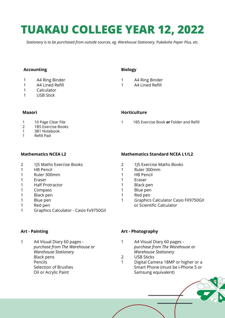## **TUAKAU COLLEGE YEAR 12, 2022**

*Stationery is to be purchased from outside sources, eg. Warehouse Stationery, Pukekohe Paper Plus, etc.*

#### **Accounting**

- 1 A4 Ring Binder
- 1 A4 Lined Refill
- 1 Calculator
- 1 USB Stick

#### **Biology**

- 1 A4 Ring Binder
- 1 A4 Lined Refill

**Horticulture**

#### **Maaori**

### 1 10 Page Clear File<br>2 1B5 Exercise Book

- 1B5 Exercise Books
- 1 3B1 Notebook
- 1 Refill Pad

#### **Mathematics NCEA L2**

- 2 1J5 Maths Exercise Books
- 1 HB Pencil
- 1 Ruler 300mm
- 1 Eraser
- 1 Half Protractor
- 1 Compass
- 1 Black pen
- 1 Blue pen
- 1 Red pen
- 1 Graphics Calculator Casio Fx9750GII

#### **Mathematics Standard NCEA L1/L2**

1 1B5 Exercise Book *or* Folder and Refill

- 2 1J5 Exercise Maths Books
- 1 Ruler 300mm
- 1 HB Pencil
- 1 Eraser
- 1 Black pen
- 1 Blue pen
- 1 Red pen
- 1 Graphics Calculator Casio FX9750GII or Scientific Calculator

#### **Art - Painting**

1 A4 Visual Diary 60 pages *purchase from The Warehouse or Warehouse Stationery* Black pens Pencils Selection of Brushes Oil or Acrylic Paint

#### **Art - Photography**

- 1 A4 Visual Diary 60 pages *purchase from The Warehouse or Warehouse Stationery*
- 2 USB Sticks
- 1 Digital Camera 18MP or higher or a Smart Phone (must be i-Phone 5 or Samsung equivalent)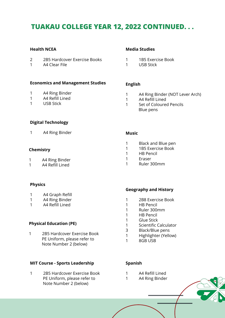### **TUAKAU COLLEGE YEAR 12, 2022 CONTINUED. . .**

#### **Health NCEA**

- 2B5 Hardcover Exercise Books
- A4 Clear File

#### **Economics and Management Studies**

- A4 Ring Binder
- A4 Refill Lined
- USB Stick

#### **Media Studies**

- 1B5 Exercise Book
- USB Stick

#### **English**

- A4 Ring Binder (NOT Lever Arch)
- A4 Refill Lined
- Set of Coloured Pencils Blue pens

#### **Digital Technology**

A4 Ring Binder

#### **Chemistry**

- A4 Ring Binder
- A4 Refill Lined

#### **Physics**

- A4 Graph Refill
- A4 Ring Binder
- A4 Refill Lined

#### **Physical Education (PE)**

 2B5 Hardcover Exercise Book PE Uniform, please refer to Note Number 2 (below)

#### **MIT Course - Sports Leadership**

 2B5 Hardcover Exercise Book PE Uniform, please refer to Note Number 2 (below)

#### **Music**

- Black and Blue pen
- 1B5 Exercise Book
- HB Pencil
- Eraser
- Ruler 300mm

#### **Geography and History**

- 2B8 Exercise Book
- HB Pencil
- Ruler 300mm
- HB Pencil
- Glue Stick
- Scientific Calculator
- Black/Blue pens
- Highlighter (Yellow)
- 8GB USB

#### **Spanish**

- A4 Refill Lined
- A4 Ring Binder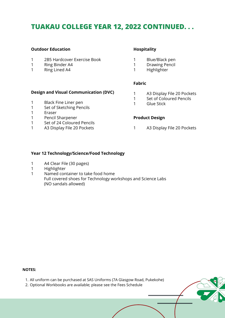### **TUAKAU COLLEGE YEAR 12, 2022 CONTINUED. . .**

#### **Outdoor Education**

- 2B5 Hardcover Exercise Book
- Ring Binder A4
- Ring Lined A4

#### **Hospitality**

- Blue/Black pen
- Drawing Pencil
- Highlighter

#### **Fabric**

- **Design and Visual Communication (DVC)**
- Black Fine Liner pen
- Set of Sketching Pencils
- Eraser
- Pencil Sharpener
- Set of 24 Coloured Pencils
- A3 Display File 20 Pockets
- A3 Display File 20 Pockets
- Set of Coloured Pencils
- Glue Stick

#### **Product Design**

A3 Display File 20 Pockets

#### **Year 12 Technology/Science/Food Technology**

- A4 Clear File (30 pages)
- Highlighter
- Named container to take food home Full covered shoes for Technology workshops and Science Labs (NO sandals allowed)

- All uniform can be purchased at SAS Uniforms (7A Glasgow Road, Pukekohe) 1.
- 2. Optional Workbooks are available; please see the Fees Schedule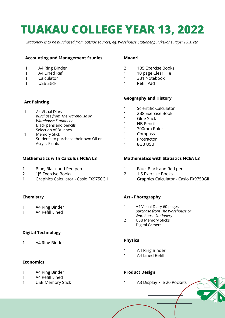## **TUAKAU COLLEGE YEAR 13, 2022**

*Stationery is to be purchased from outside sources, eg. Warehouse Stationery, Pukekohe Paper Plus, etc.*

#### **Accounting and Management Studies**

- 1 A4 Ring Binder
- 1 A4 Lined Refill
- 1 Calculator
- 1 USB Stick

#### **Art Painting**

- 1 A4 Visual Diary *purchase from The Warehouse or Warehouse Stationery* Black pens and pencils Selection of Brushes
- 1 Memory Stick Students to purchase their own Oil or Acrylic Paints

#### **Mathematics with Calculus NCEA L3**

- 1 Blue, Black and Red pen
- 2 1J5 Exercise Books
- 1 Graphics Calculator Casio FX9750GII

#### **Chemistry**

- 1 A4 Ring Binder
- 1 A4 Refill Lined

#### **Digital Technology**

1 A4 Ring Binder

#### **Economics**

- 1 A4 Ring Binder
- 1 A4 Refill Lined
- 1 USB Memory Stick

#### **Maaori**

- 2 1B5 Exercise Books
- 1 10 page Clear File
- 1 3B1 Notebook
- 1 Refill Pad

#### **Geography and History**

- 1 Scientific Calculator
- 1 2B8 Exercise Book<br>1 Glue Stick
- 1 Glue Stick<br>1 HB Pencil
- **HB Pencil**
- 1 300mm Ruler
- 1 Compass<br>1 Protracto
- **Protractor**
- 1 8GB USB

#### **Mathematics with Statistics NCEA L3**

- 1 Blue, Black and Red pen
- 2 1J5 Exercise Books
- 1 Graphics Calculator Casio FX9750GII

#### **Art - Photography**

- 1 A4 Visual Diary 60 pages *purchase from The Warehouse or Warehouse Stationery*
- 2 USB Memory Sticks<br>1 Digital Camera
- Digital Camera

#### **Physics**

- 1 A4 Ring Binder
- 1 A4 Lined Refill

#### **Product Design**

1 A3 Display File 20 Pockets